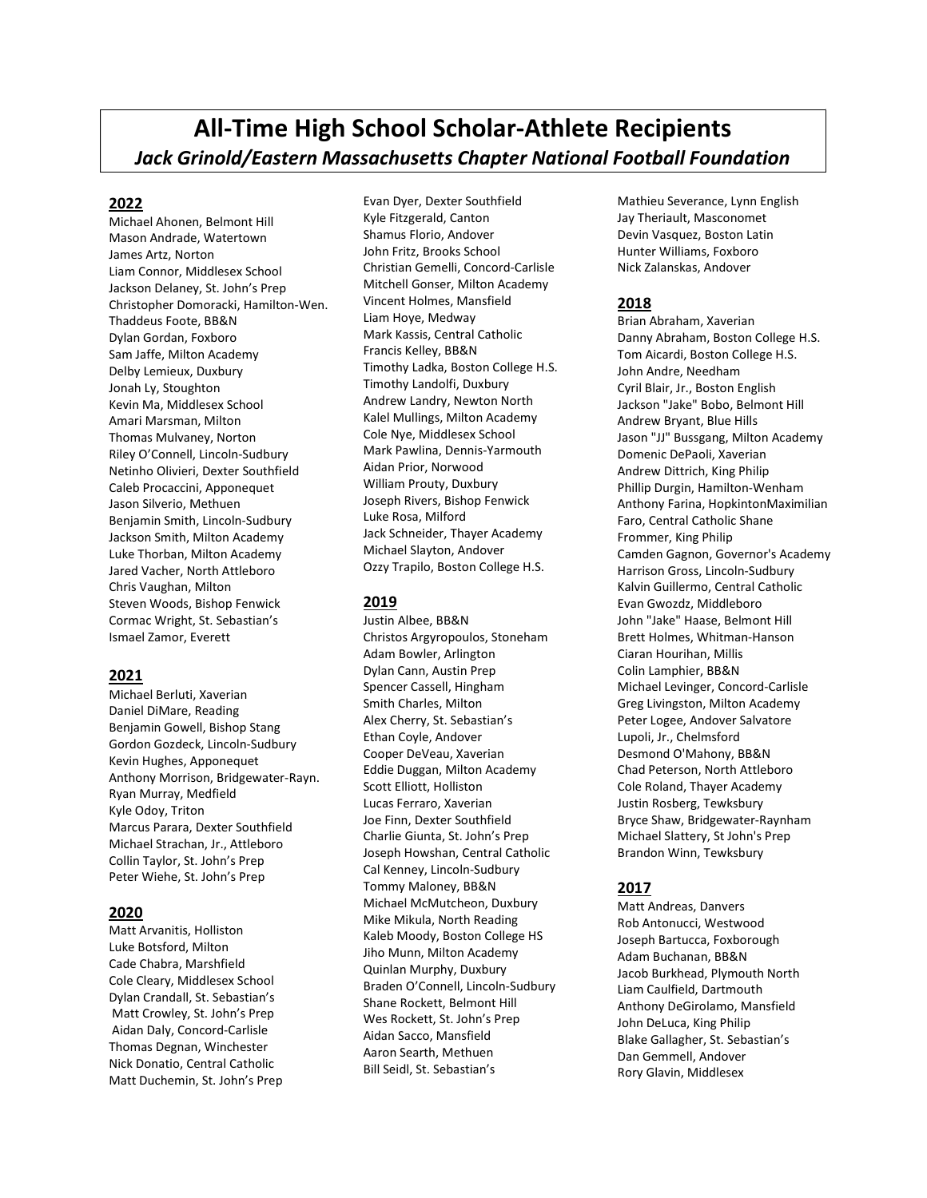# All-Time High School Scholar-Athlete Recipients Jack Grinold/Eastern Massachusetts Chapter National Football Foundation

# 2022

Michael Ahonen, Belmont Hill Mason Andrade, Watertown James Artz, Norton Liam Connor, Middlesex School Jackson Delaney, St. John's Prep Christopher Domoracki, Hamilton-Wen. Thaddeus Foote, BB&N Dylan Gordan, Foxboro Sam Jaffe, Milton Academy Delby Lemieux, Duxbury Jonah Ly, Stoughton Kevin Ma, Middlesex School Amari Marsman, Milton Thomas Mulvaney, Norton Riley O'Connell, Lincoln-Sudbury Netinho Olivieri, Dexter Southfield Caleb Procaccini, Apponequet Jason Silverio, Methuen Benjamin Smith, Lincoln-Sudbury Jackson Smith, Milton Academy Luke Thorban, Milton Academy Jared Vacher, North Attleboro Chris Vaughan, Milton Steven Woods, Bishop Fenwick Cormac Wright, St. Sebastian's Ismael Zamor, Everett

# 2021

Michael Berluti, Xaverian Daniel DiMare, Reading Benjamin Gowell, Bishop Stang Gordon Gozdeck, Lincoln-Sudbury Kevin Hughes, Apponequet Anthony Morrison, Bridgewater-Rayn. Ryan Murray, Medfield Kyle Odoy, Triton Marcus Parara, Dexter Southfield Michael Strachan, Jr., Attleboro Collin Taylor, St. John's Prep Peter Wiehe, St. John's Prep

# 2020

Matt Arvanitis, Holliston Luke Botsford, Milton Cade Chabra, Marshfield Cole Cleary, Middlesex School Dylan Crandall, St. Sebastian's Matt Crowley, St. John's Prep Aidan Daly, Concord-Carlisle Thomas Degnan, Winchester Nick Donatio, Central Catholic Matt Duchemin, St. John's Prep

Evan Dyer, Dexter Southfield Kyle Fitzgerald, Canton Shamus Florio, Andover John Fritz, Brooks School Christian Gemelli, Concord-Carlisle Mitchell Gonser, Milton Academy Vincent Holmes, Mansfield Liam Hoye, Medway Mark Kassis, Central Catholic Francis Kelley, BB&N Timothy Ladka, Boston College H.S. Timothy Landolfi, Duxbury Andrew Landry, Newton North Kalel Mullings, Milton Academy Cole Nye, Middlesex School Mark Pawlina, Dennis-Yarmouth Aidan Prior, Norwood William Prouty, Duxbury Joseph Rivers, Bishop Fenwick Luke Rosa, Milford Jack Schneider, Thayer Academy Michael Slayton, Andover Ozzy Trapilo, Boston College H.S.

# 2019

Justin Albee, BB&N Christos Argyropoulos, Stoneham Adam Bowler, Arlington Dylan Cann, Austin Prep Spencer Cassell, Hingham Smith Charles, Milton Alex Cherry, St. Sebastian's Ethan Coyle, Andover Cooper DeVeau, Xaverian Eddie Duggan, Milton Academy Scott Elliott, Holliston Lucas Ferraro, Xaverian Joe Finn, Dexter Southfield Charlie Giunta, St. John's Prep Joseph Howshan, Central Catholic Cal Kenney, Lincoln-Sudbury Tommy Maloney, BB&N Michael McMutcheon, Duxbury Mike Mikula, North Reading Kaleb Moody, Boston College HS Jiho Munn, Milton Academy Quinlan Murphy, Duxbury Braden O'Connell, Lincoln-Sudbury Shane Rockett, Belmont Hill Wes Rockett, St. John's Prep Aidan Sacco, Mansfield Aaron Searth, Methuen Bill Seidl, St. Sebastian's

Mathieu Severance, Lynn English Jay Theriault, Masconomet Devin Vasquez, Boston Latin Hunter Williams, Foxboro Nick Zalanskas, Andover

# 2018

Brian Abraham, Xaverian Danny Abraham, Boston College H.S. Tom Aicardi, Boston College H.S. John Andre, Needham Cyril Blair, Jr., Boston English Jackson "Jake" Bobo, Belmont Hill Andrew Bryant, Blue Hills Jason "JJ" Bussgang, Milton Academy Domenic DePaoli, Xaverian Andrew Dittrich, King Philip Phillip Durgin, Hamilton-Wenham Anthony Farina, HopkintonMaximilian Faro, Central Catholic Shane Frommer, King Philip Camden Gagnon, Governor's Academy Harrison Gross, Lincoln-Sudbury Kalvin Guillermo, Central Catholic Evan Gwozdz, Middleboro John "Jake" Haase, Belmont Hill Brett Holmes, Whitman-Hanson Ciaran Hourihan, Millis Colin Lamphier, BB&N Michael Levinger, Concord-Carlisle Greg Livingston, Milton Academy Peter Logee, Andover Salvatore Lupoli, Jr., Chelmsford Desmond O'Mahony, BB&N Chad Peterson, North Attleboro Cole Roland, Thayer Academy Justin Rosberg, Tewksbury Bryce Shaw, Bridgewater-Raynham Michael Slattery, St John's Prep Brandon Winn, Tewksbury

# 2017

Matt Andreas, Danvers Rob Antonucci, Westwood Joseph Bartucca, Foxborough Adam Buchanan, BB&N Jacob Burkhead, Plymouth North Liam Caulfield, Dartmouth Anthony DeGirolamo, Mansfield John DeLuca, King Philip Blake Gallagher, St. Sebastian's Dan Gemmell, Andover Rory Glavin, Middlesex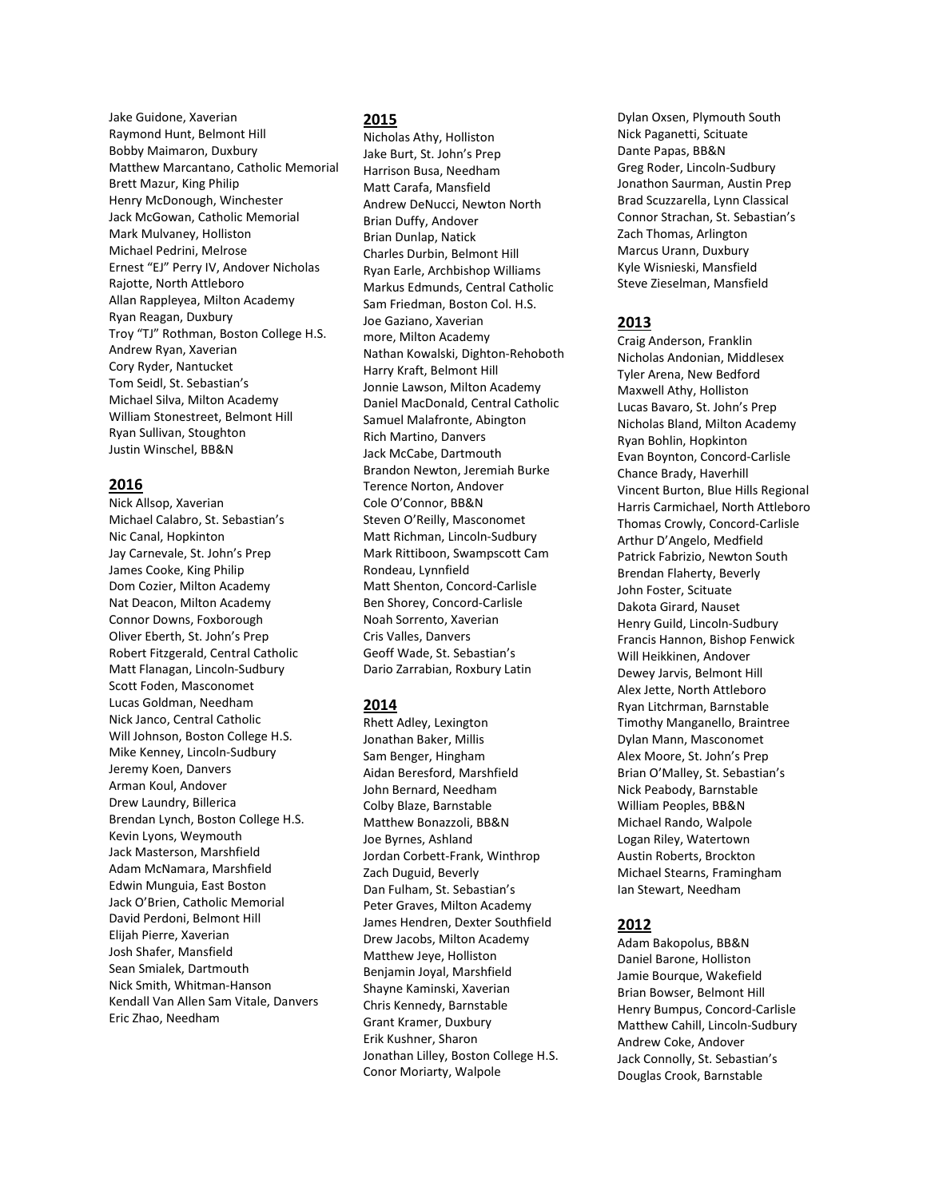Jake Guidone, Xaverian Raymond Hunt, Belmont Hill Bobby Maimaron, Duxbury Matthew Marcantano, Catholic Memorial Brett Mazur, King Philip Henry McDonough, Winchester Jack McGowan, Catholic Memorial Mark Mulvaney, Holliston Michael Pedrini, Melrose Ernest "EJ" Perry IV, Andover Nicholas Rajotte, North Attleboro Allan Rappleyea, Milton Academy Ryan Reagan, Duxbury Troy "TJ" Rothman, Boston College H.S. Andrew Ryan, Xaverian Cory Ryder, Nantucket Tom Seidl, St. Sebastian's Michael Silva, Milton Academy William Stonestreet, Belmont Hill Ryan Sullivan, Stoughton Justin Winschel, BB&N

# 2016

Nick Allsop, Xaverian Michael Calabro, St. Sebastian's Nic Canal, Hopkinton Jay Carnevale, St. John's Prep James Cooke, King Philip Dom Cozier, Milton Academy Nat Deacon, Milton Academy Connor Downs, Foxborough Oliver Eberth, St. John's Prep Robert Fitzgerald, Central Catholic Matt Flanagan, Lincoln-Sudbury Scott Foden, Masconomet Lucas Goldman, Needham Nick Janco, Central Catholic Will Johnson, Boston College H.S. Mike Kenney, Lincoln-Sudbury Jeremy Koen, Danvers Arman Koul, Andover Drew Laundry, Billerica Brendan Lynch, Boston College H.S. Kevin Lyons, Weymouth Jack Masterson, Marshfield Adam McNamara, Marshfield Edwin Munguia, East Boston Jack O'Brien, Catholic Memorial David Perdoni, Belmont Hill Elijah Pierre, Xaverian Josh Shafer, Mansfield Sean Smialek, Dartmouth Nick Smith, Whitman-Hanson Kendall Van Allen Sam Vitale, Danvers Eric Zhao, Needham

# 2015

Nicholas Athy, Holliston Jake Burt, St. John's Prep Harrison Busa, Needham Matt Carafa, Mansfield Andrew DeNucci, Newton North Brian Duffy, Andover Brian Dunlap, Natick Charles Durbin, Belmont Hill Ryan Earle, Archbishop Williams Markus Edmunds, Central Catholic Sam Friedman, Boston Col. H.S. Joe Gaziano, Xaverian more, Milton Academy Nathan Kowalski, Dighton-Rehoboth Harry Kraft, Belmont Hill Jonnie Lawson, Milton Academy Daniel MacDonald, Central Catholic Samuel Malafronte, Abington Rich Martino, Danvers Jack McCabe, Dartmouth Brandon Newton, Jeremiah Burke Terence Norton, Andover Cole O'Connor, BB&N Steven O'Reilly, Masconomet Matt Richman, Lincoln-Sudbury Mark Rittiboon, Swampscott Cam Rondeau, Lynnfield Matt Shenton, Concord-Carlisle Ben Shorey, Concord-Carlisle Noah Sorrento, Xaverian Cris Valles, Danvers Geoff Wade, St. Sebastian's Dario Zarrabian, Roxbury Latin

# 2014

Rhett Adley, Lexington Jonathan Baker, Millis Sam Benger, Hingham Aidan Beresford, Marshfield John Bernard, Needham Colby Blaze, Barnstable Matthew Bonazzoli, BB&N Joe Byrnes, Ashland Jordan Corbett-Frank, Winthrop Zach Duguid, Beverly Dan Fulham, St. Sebastian's Peter Graves, Milton Academy James Hendren, Dexter Southfield Drew Jacobs, Milton Academy Matthew Jeye, Holliston Benjamin Joyal, Marshfield Shayne Kaminski, Xaverian Chris Kennedy, Barnstable Grant Kramer, Duxbury Erik Kushner, Sharon Jonathan Lilley, Boston College H.S. Conor Moriarty, Walpole

Dylan Oxsen, Plymouth South Nick Paganetti, Scituate Dante Papas, BB&N Greg Roder, Lincoln-Sudbury Jonathon Saurman, Austin Prep Brad Scuzzarella, Lynn Classical Connor Strachan, St. Sebastian's Zach Thomas, Arlington Marcus Urann, Duxbury Kyle Wisnieski, Mansfield Steve Zieselman, Mansfield

# 2013

Craig Anderson, Franklin Nicholas Andonian, Middlesex Tyler Arena, New Bedford Maxwell Athy, Holliston Lucas Bavaro, St. John's Prep Nicholas Bland, Milton Academy Ryan Bohlin, Hopkinton Evan Boynton, Concord-Carlisle Chance Brady, Haverhill Vincent Burton, Blue Hills Regional Harris Carmichael, North Attleboro Thomas Crowly, Concord-Carlisle Arthur D'Angelo, Medfield Patrick Fabrizio, Newton South Brendan Flaherty, Beverly John Foster, Scituate Dakota Girard, Nauset Henry Guild, Lincoln-Sudbury Francis Hannon, Bishop Fenwick Will Heikkinen, Andover Dewey Jarvis, Belmont Hill Alex Jette, North Attleboro Ryan Litchrman, Barnstable Timothy Manganello, Braintree Dylan Mann, Masconomet Alex Moore, St. John's Prep Brian O'Malley, St. Sebastian's Nick Peabody, Barnstable William Peoples, BB&N Michael Rando, Walpole Logan Riley, Watertown Austin Roberts, Brockton Michael Stearns, Framingham Ian Stewart, Needham

# 2012

Adam Bakopolus, BB&N Daniel Barone, Holliston Jamie Bourque, Wakefield Brian Bowser, Belmont Hill Henry Bumpus, Concord-Carlisle Matthew Cahill, Lincoln-Sudbury Andrew Coke, Andover Jack Connolly, St. Sebastian's Douglas Crook, Barnstable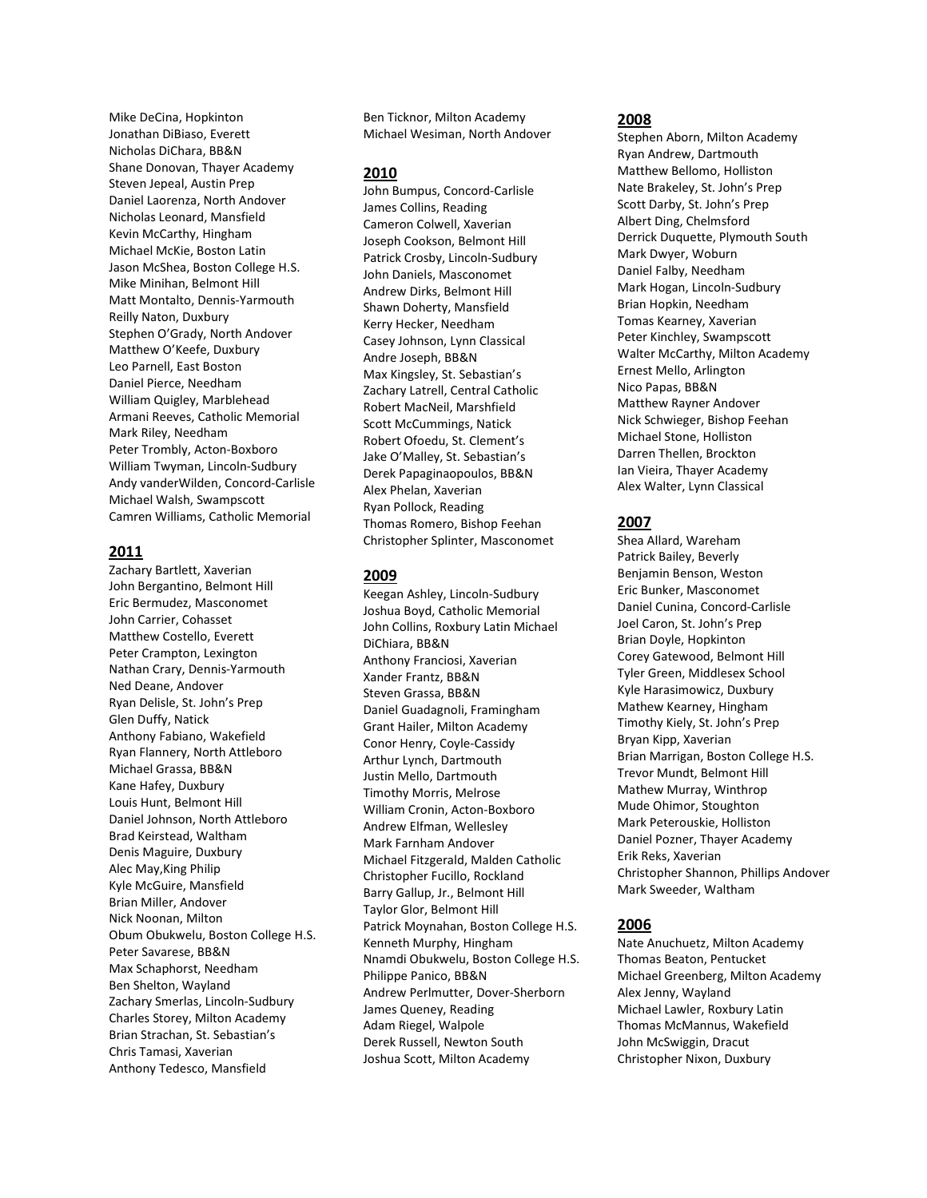Mike DeCina, Hopkinton Jonathan DiBiaso, Everett Nicholas DiChara, BB&N Shane Donovan, Thayer Academy Steven Jepeal, Austin Prep Daniel Laorenza, North Andover Nicholas Leonard, Mansfield Kevin McCarthy, Hingham Michael McKie, Boston Latin Jason McShea, Boston College H.S. Mike Minihan, Belmont Hill Matt Montalto, Dennis-Yarmouth Reilly Naton, Duxbury Stephen O'Grady, North Andover Matthew O'Keefe, Duxbury Leo Parnell, East Boston Daniel Pierce, Needham William Quigley, Marblehead Armani Reeves, Catholic Memorial Mark Riley, Needham Peter Trombly, Acton-Boxboro William Twyman, Lincoln-Sudbury Andy vanderWilden, Concord-Carlisle Michael Walsh, Swampscott Camren Williams, Catholic Memorial

# 2011

Zachary Bartlett, Xaverian John Bergantino, Belmont Hill Eric Bermudez, Masconomet John Carrier, Cohasset Matthew Costello, Everett Peter Crampton, Lexington Nathan Crary, Dennis-Yarmouth Ned Deane, Andover Ryan Delisle, St. John's Prep Glen Duffy, Natick Anthony Fabiano, Wakefield Ryan Flannery, North Attleboro Michael Grassa, BB&N Kane Hafey, Duxbury Louis Hunt, Belmont Hill Daniel Johnson, North Attleboro Brad Keirstead, Waltham Denis Maguire, Duxbury Alec May,King Philip Kyle McGuire, Mansfield Brian Miller, Andover Nick Noonan, Milton Obum Obukwelu, Boston College H.S. Peter Savarese, BB&N Max Schaphorst, Needham Ben Shelton, Wayland Zachary Smerlas, Lincoln-Sudbury Charles Storey, Milton Academy Brian Strachan, St. Sebastian's Chris Tamasi, Xaverian Anthony Tedesco, Mansfield

Ben Ticknor, Milton Academy Michael Wesiman, North Andover

### 2010

John Bumpus, Concord-Carlisle James Collins, Reading Cameron Colwell, Xaverian Joseph Cookson, Belmont Hill Patrick Crosby, Lincoln-Sudbury John Daniels, Masconomet Andrew Dirks, Belmont Hill Shawn Doherty, Mansfield Kerry Hecker, Needham Casey Johnson, Lynn Classical Andre Joseph, BB&N Max Kingsley, St. Sebastian's Zachary Latrell, Central Catholic Robert MacNeil, Marshfield Scott McCummings, Natick Robert Ofoedu, St. Clement's Jake O'Malley, St. Sebastian's Derek Papaginaopoulos, BB&N Alex Phelan, Xaverian Ryan Pollock, Reading Thomas Romero, Bishop Feehan Christopher Splinter, Masconomet

#### 2009

Keegan Ashley, Lincoln-Sudbury Joshua Boyd, Catholic Memorial John Collins, Roxbury Latin Michael DiChiara, BB&N Anthony Franciosi, Xaverian Xander Frantz, BB&N Steven Grassa, BB&N Daniel Guadagnoli, Framingham Grant Hailer, Milton Academy Conor Henry, Coyle-Cassidy Arthur Lynch, Dartmouth Justin Mello, Dartmouth Timothy Morris, Melrose William Cronin, Acton-Boxboro Andrew Elfman, Wellesley Mark Farnham Andover Michael Fitzgerald, Malden Catholic Christopher Fucillo, Rockland Barry Gallup, Jr., Belmont Hill Taylor Glor, Belmont Hill Patrick Moynahan, Boston College H.S. Kenneth Murphy, Hingham Nnamdi Obukwelu, Boston College H.S. Philippe Panico, BB&N Andrew Perlmutter, Dover-Sherborn James Queney, Reading Adam Riegel, Walpole Derek Russell, Newton South Joshua Scott, Milton Academy

## 2008

Stephen Aborn, Milton Academy Ryan Andrew, Dartmouth Matthew Bellomo, Holliston Nate Brakeley, St. John's Prep Scott Darby, St. John's Prep Albert Ding, Chelmsford Derrick Duquette, Plymouth South Mark Dwyer, Woburn Daniel Falby, Needham Mark Hogan, Lincoln-Sudbury Brian Hopkin, Needham Tomas Kearney, Xaverian Peter Kinchley, Swampscott Walter McCarthy, Milton Academy Ernest Mello, Arlington Nico Papas, BB&N Matthew Rayner Andover Nick Schwieger, Bishop Feehan Michael Stone, Holliston Darren Thellen, Brockton Ian Vieira, Thayer Academy Alex Walter, Lynn Classical

### 2007

Shea Allard, Wareham Patrick Bailey, Beverly Benjamin Benson, Weston Eric Bunker, Masconomet Daniel Cunina, Concord-Carlisle Joel Caron, St. John's Prep Brian Doyle, Hopkinton Corey Gatewood, Belmont Hill Tyler Green, Middlesex School Kyle Harasimowicz, Duxbury Mathew Kearney, Hingham Timothy Kiely, St. John's Prep Bryan Kipp, Xaverian Brian Marrigan, Boston College H.S. Trevor Mundt, Belmont Hill Mathew Murray, Winthrop Mude Ohimor, Stoughton Mark Peterouskie, Holliston Daniel Pozner, Thayer Academy Erik Reks, Xaverian Christopher Shannon, Phillips Andover Mark Sweeder, Waltham

# 2006

Nate Anuchuetz, Milton Academy Thomas Beaton, Pentucket Michael Greenberg, Milton Academy Alex Jenny, Wayland Michael Lawler, Roxbury Latin Thomas McMannus, Wakefield John McSwiggin, Dracut Christopher Nixon, Duxbury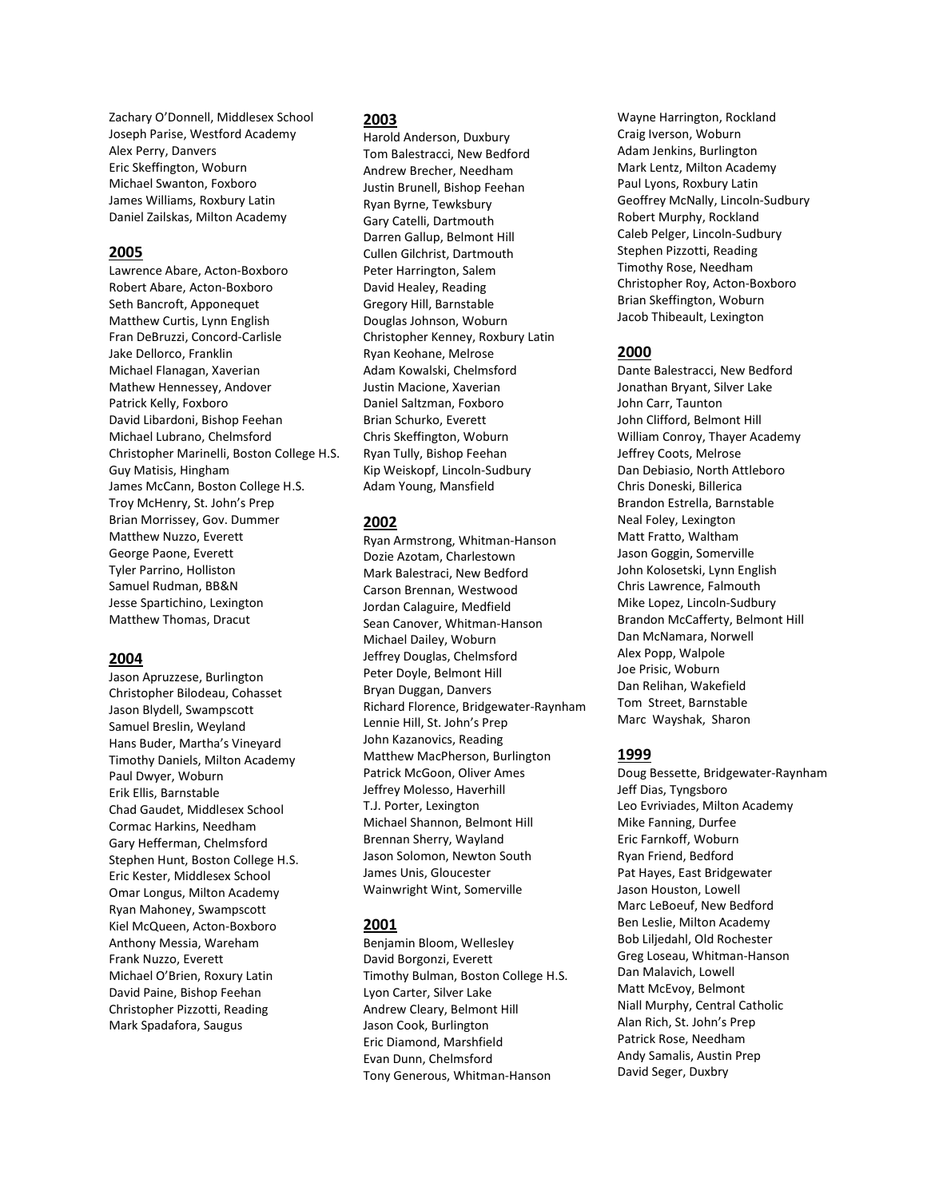Zachary O'Donnell, Middlesex School Joseph Parise, Westford Academy Alex Perry, Danvers Eric Skeffington, Woburn Michael Swanton, Foxboro James Williams, Roxbury Latin Daniel Zailskas, Milton Academy

# 2005

Lawrence Abare, Acton-Boxboro Robert Abare, Acton-Boxboro Seth Bancroft, Apponequet Matthew Curtis, Lynn English Fran DeBruzzi, Concord-Carlisle Jake Dellorco, Franklin Michael Flanagan, Xaverian Mathew Hennessey, Andover Patrick Kelly, Foxboro David Libardoni, Bishop Feehan Michael Lubrano, Chelmsford Christopher Marinelli, Boston College H.S. Guy Matisis, Hingham James McCann, Boston College H.S. Troy McHenry, St. John's Prep Brian Morrissey, Gov. Dummer Matthew Nuzzo, Everett George Paone, Everett Tyler Parrino, Holliston Samuel Rudman, BB&N Jesse Spartichino, Lexington Matthew Thomas, Dracut

# 2004

Jason Apruzzese, Burlington Christopher Bilodeau, Cohasset Jason Blydell, Swampscott Samuel Breslin, Weyland Hans Buder, Martha's Vineyard Timothy Daniels, Milton Academy Paul Dwyer, Woburn Erik Ellis, Barnstable Chad Gaudet, Middlesex School Cormac Harkins, Needham Gary Hefferman, Chelmsford Stephen Hunt, Boston College H.S. Eric Kester, Middlesex School Omar Longus, Milton Academy Ryan Mahoney, Swampscott Kiel McQueen, Acton-Boxboro Anthony Messia, Wareham Frank Nuzzo, Everett Michael O'Brien, Roxury Latin David Paine, Bishop Feehan Christopher Pizzotti, Reading Mark Spadafora, Saugus

# 2003

Harold Anderson, Duxbury Tom Balestracci, New Bedford Andrew Brecher, Needham Justin Brunell, Bishop Feehan Ryan Byrne, Tewksbury Gary Catelli, Dartmouth Darren Gallup, Belmont Hill Cullen Gilchrist, Dartmouth Peter Harrington, Salem David Healey, Reading Gregory Hill, Barnstable Douglas Johnson, Woburn Christopher Kenney, Roxbury Latin Ryan Keohane, Melrose Adam Kowalski, Chelmsford Justin Macione, Xaverian Daniel Saltzman, Foxboro Brian Schurko, Everett Chris Skeffington, Woburn Ryan Tully, Bishop Feehan Kip Weiskopf, Lincoln-Sudbury Adam Young, Mansfield

# 2002

Ryan Armstrong, Whitman-Hanson Dozie Azotam, Charlestown Mark Balestraci, New Bedford Carson Brennan, Westwood Jordan Calaguire, Medfield Sean Canover, Whitman-Hanson Michael Dailey, Woburn Jeffrey Douglas, Chelmsford Peter Doyle, Belmont Hill Bryan Duggan, Danvers Richard Florence, Bridgewater-Raynham Lennie Hill, St. John's Prep John Kazanovics, Reading Matthew MacPherson, Burlington Patrick McGoon, Oliver Ames Jeffrey Molesso, Haverhill T.J. Porter, Lexington Michael Shannon, Belmont Hill Brennan Sherry, Wayland Jason Solomon, Newton South James Unis, Gloucester Wainwright Wint, Somerville

# 2001

Benjamin Bloom, Wellesley David Borgonzi, Everett Timothy Bulman, Boston College H.S. Lyon Carter, Silver Lake Andrew Cleary, Belmont Hill Jason Cook, Burlington Eric Diamond, Marshfield Evan Dunn, Chelmsford Tony Generous, Whitman-Hanson

Wayne Harrington, Rockland Craig Iverson, Woburn Adam Jenkins, Burlington Mark Lentz, Milton Academy Paul Lyons, Roxbury Latin Geoffrey McNally, Lincoln-Sudbury Robert Murphy, Rockland Caleb Pelger, Lincoln-Sudbury Stephen Pizzotti, Reading Timothy Rose, Needham Christopher Roy, Acton-Boxboro Brian Skeffington, Woburn Jacob Thibeault, Lexington

# 2000

Dante Balestracci, New Bedford Jonathan Bryant, Silver Lake John Carr, Taunton John Clifford, Belmont Hill William Conroy, Thayer Academy Jeffrey Coots, Melrose Dan Debiasio, North Attleboro Chris Doneski, Billerica Brandon Estrella, Barnstable Neal Foley, Lexington Matt Fratto, Waltham Jason Goggin, Somerville John Kolosetski, Lynn English Chris Lawrence, Falmouth Mike Lopez, Lincoln-Sudbury Brandon McCafferty, Belmont Hill Dan McNamara, Norwell Alex Popp, Walpole Joe Prisic, Woburn Dan Relihan, Wakefield Tom Street, Barnstable Marc Wayshak, Sharon

# 1999

Doug Bessette, Bridgewater-Raynham Jeff Dias, Tyngsboro Leo Evriviades, Milton Academy Mike Fanning, Durfee Eric Farnkoff, Woburn Ryan Friend, Bedford Pat Hayes, East Bridgewater Jason Houston, Lowell Marc LeBoeuf, New Bedford Ben Leslie, Milton Academy Bob Liljedahl, Old Rochester Greg Loseau, Whitman-Hanson Dan Malavich, Lowell Matt McEvoy, Belmont Niall Murphy, Central Catholic Alan Rich, St. John's Prep Patrick Rose, Needham Andy Samalis, Austin Prep David Seger, Duxbry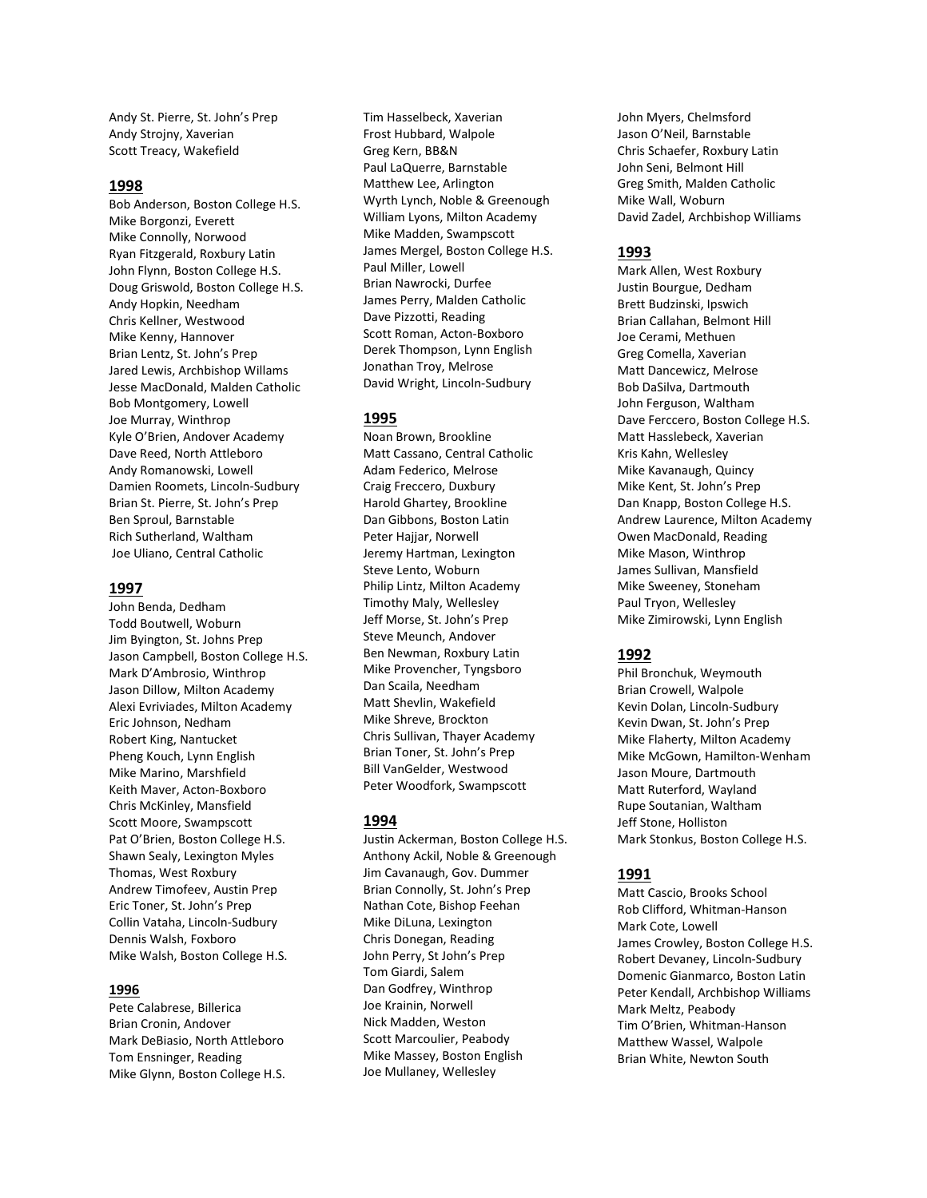Andy St. Pierre, St. John's Prep Andy Strojny, Xaverian Scott Treacy, Wakefield

#### 1998

Bob Anderson, Boston College H.S. Mike Borgonzi, Everett Mike Connolly, Norwood Ryan Fitzgerald, Roxbury Latin John Flynn, Boston College H.S. Doug Griswold, Boston College H.S. Andy Hopkin, Needham Chris Kellner, Westwood Mike Kenny, Hannover Brian Lentz, St. John's Prep Jared Lewis, Archbishop Willams Jesse MacDonald, Malden Catholic Bob Montgomery, Lowell Joe Murray, Winthrop Kyle O'Brien, Andover Academy Dave Reed, North Attleboro Andy Romanowski, Lowell Damien Roomets, Lincoln-Sudbury Brian St. Pierre, St. John's Prep Ben Sproul, Barnstable Rich Sutherland, Waltham Joe Uliano, Central Catholic

#### 1997

John Benda, Dedham Todd Boutwell, Woburn Jim Byington, St. Johns Prep Jason Campbell, Boston College H.S. Mark D'Ambrosio, Winthrop Jason Dillow, Milton Academy Alexi Evriviades, Milton Academy Eric Johnson, Nedham Robert King, Nantucket Pheng Kouch, Lynn English Mike Marino, Marshfield Keith Maver, Acton-Boxboro Chris McKinley, Mansfield Scott Moore, Swampscott Pat O'Brien, Boston College H.S. Shawn Sealy, Lexington Myles Thomas, West Roxbury Andrew Timofeev, Austin Prep Eric Toner, St. John's Prep Collin Vataha, Lincoln-Sudbury Dennis Walsh, Foxboro Mike Walsh, Boston College H.S.

# 1996

Pete Calabrese, Billerica Brian Cronin, Andover Mark DeBiasio, North Attleboro Tom Ensninger, Reading Mike Glynn, Boston College H.S.

Tim Hasselbeck, Xaverian Frost Hubbard, Walpole Greg Kern, BB&N Paul LaQuerre, Barnstable Matthew Lee, Arlington Wyrth Lynch, Noble & Greenough William Lyons, Milton Academy Mike Madden, Swampscott James Mergel, Boston College H.S. Paul Miller, Lowell Brian Nawrocki, Durfee James Perry, Malden Catholic Dave Pizzotti, Reading Scott Roman, Acton-Boxboro Derek Thompson, Lynn English Jonathan Troy, Melrose David Wright, Lincoln-Sudbury

#### 1995

Noan Brown, Brookline Matt Cassano, Central Catholic Adam Federico, Melrose Craig Freccero, Duxbury Harold Ghartey, Brookline Dan Gibbons, Boston Latin Peter Hajjar, Norwell Jeremy Hartman, Lexington Steve Lento, Woburn Philip Lintz, Milton Academy Timothy Maly, Wellesley Jeff Morse, St. John's Prep Steve Meunch, Andover Ben Newman, Roxbury Latin Mike Provencher, Tyngsboro Dan Scaila, Needham Matt Shevlin, Wakefield Mike Shreve, Brockton Chris Sullivan, Thayer Academy Brian Toner, St. John's Prep Bill VanGelder, Westwood Peter Woodfork, Swampscott

#### 1994

Justin Ackerman, Boston College H.S. Anthony Ackil, Noble & Greenough Jim Cavanaugh, Gov. Dummer Brian Connolly, St. John's Prep Nathan Cote, Bishop Feehan Mike DiLuna, Lexington Chris Donegan, Reading John Perry, St John's Prep Tom Giardi, Salem Dan Godfrey, Winthrop Joe Krainin, Norwell Nick Madden, Weston Scott Marcoulier, Peabody Mike Massey, Boston English Joe Mullaney, Wellesley

John Myers, Chelmsford Jason O'Neil, Barnstable Chris Schaefer, Roxbury Latin John Seni, Belmont Hill Greg Smith, Malden Catholic Mike Wall, Woburn David Zadel, Archbishop Williams

#### 1993

Mark Allen, West Roxbury Justin Bourgue, Dedham Brett Budzinski, Ipswich Brian Callahan, Belmont Hill Joe Cerami, Methuen Greg Comella, Xaverian Matt Dancewicz, Melrose Bob DaSilva, Dartmouth John Ferguson, Waltham Dave Ferccero, Boston College H.S. Matt Hasslebeck, Xaverian Kris Kahn, Wellesley Mike Kavanaugh, Quincy Mike Kent, St. John's Prep Dan Knapp, Boston College H.S. Andrew Laurence, Milton Academy Owen MacDonald, Reading Mike Mason, Winthrop James Sullivan, Mansfield Mike Sweeney, Stoneham Paul Tryon, Wellesley Mike Zimirowski, Lynn English

#### 1992

Phil Bronchuk, Weymouth Brian Crowell, Walpole Kevin Dolan, Lincoln-Sudbury Kevin Dwan, St. John's Prep Mike Flaherty, Milton Academy Mike McGown, Hamilton-Wenham Jason Moure, Dartmouth Matt Ruterford, Wayland Rupe Soutanian, Waltham Jeff Stone, Holliston Mark Stonkus, Boston College H.S.

# 1991

Matt Cascio, Brooks School Rob Clifford, Whitman-Hanson Mark Cote, Lowell James Crowley, Boston College H.S. Robert Devaney, Lincoln-Sudbury Domenic Gianmarco, Boston Latin Peter Kendall, Archbishop Williams Mark Meltz, Peabody Tim O'Brien, Whitman-Hanson Matthew Wassel, Walpole Brian White, Newton South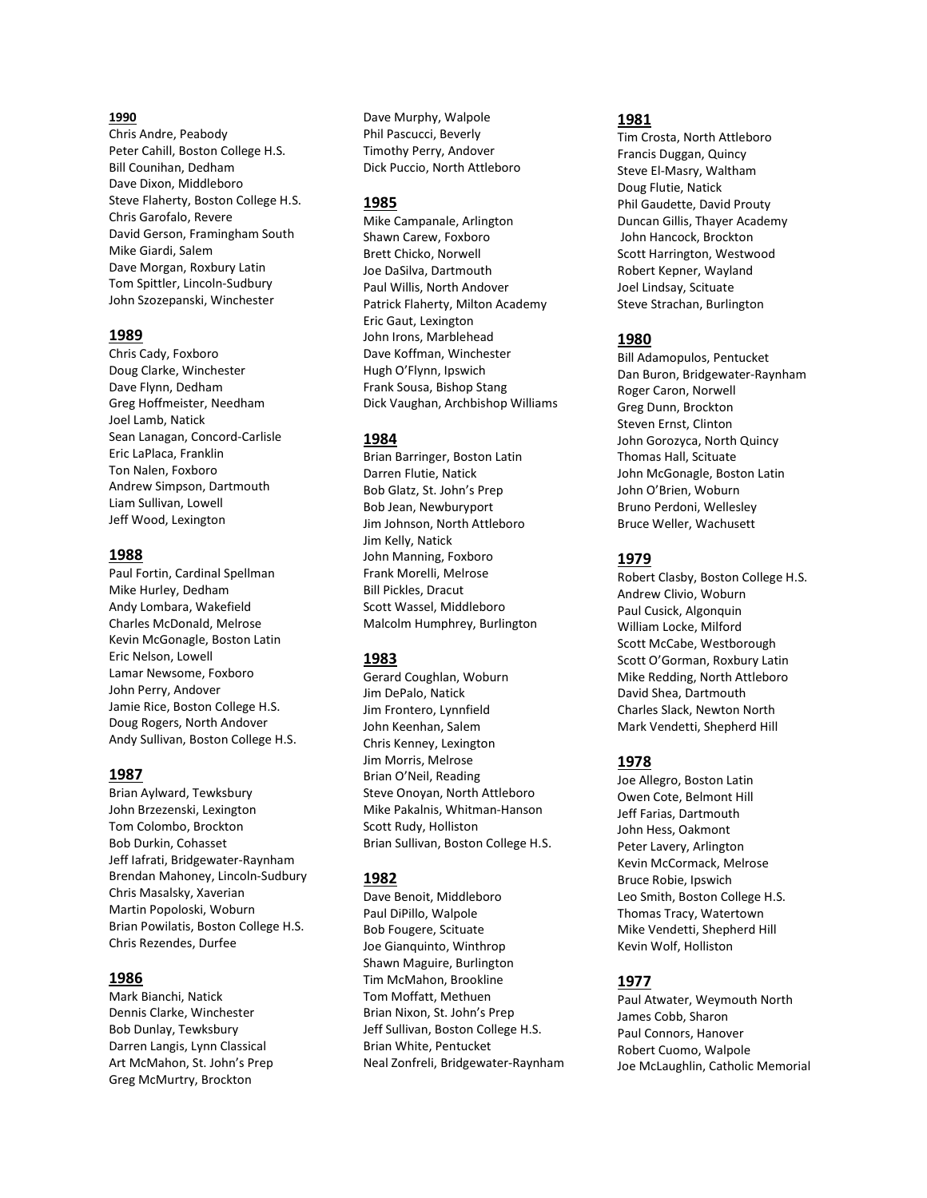#### 1990

Chris Andre, Peabody Peter Cahill, Boston College H.S. Bill Counihan, Dedham Dave Dixon, Middleboro Steve Flaherty, Boston College H.S. Chris Garofalo, Revere David Gerson, Framingham South Mike Giardi, Salem Dave Morgan, Roxbury Latin Tom Spittler, Lincoln-Sudbury John Szozepanski, Winchester

#### 1989

Chris Cady, Foxboro Doug Clarke, Winchester Dave Flynn, Dedham Greg Hoffmeister, Needham Joel Lamb, Natick Sean Lanagan, Concord-Carlisle Eric LaPlaca, Franklin Ton Nalen, Foxboro Andrew Simpson, Dartmouth Liam Sullivan, Lowell Jeff Wood, Lexington

#### 1988

Paul Fortin, Cardinal Spellman Mike Hurley, Dedham Andy Lombara, Wakefield Charles McDonald, Melrose Kevin McGonagle, Boston Latin Eric Nelson, Lowell Lamar Newsome, Foxboro John Perry, Andover Jamie Rice, Boston College H.S. Doug Rogers, North Andover Andy Sullivan, Boston College H.S.

### 1987

Brian Aylward, Tewksbury John Brzezenski, Lexington Tom Colombo, Brockton Bob Durkin, Cohasset Jeff Iafrati, Bridgewater-Raynham Brendan Mahoney, Lincoln-Sudbury Chris Masalsky, Xaverian Martin Popoloski, Woburn Brian Powilatis, Boston College H.S. Chris Rezendes, Durfee

### 1986

Mark Bianchi, Natick Dennis Clarke, Winchester Bob Dunlay, Tewksbury Darren Langis, Lynn Classical Art McMahon, St. John's Prep Greg McMurtry, Brockton

Dave Murphy, Walpole Phil Pascucci, Beverly Timothy Perry, Andover Dick Puccio, North Attleboro

#### 1985

Mike Campanale, Arlington Shawn Carew, Foxboro Brett Chicko, Norwell Joe DaSilva, Dartmouth Paul Willis, North Andover Patrick Flaherty, Milton Academy Eric Gaut, Lexington John Irons, Marblehead Dave Koffman, Winchester Hugh O'Flynn, Ipswich Frank Sousa, Bishop Stang Dick Vaughan, Archbishop Williams

### 1984

Brian Barringer, Boston Latin Darren Flutie, Natick Bob Glatz, St. John's Prep Bob Jean, Newburyport Jim Johnson, North Attleboro Jim Kelly, Natick John Manning, Foxboro Frank Morelli, Melrose Bill Pickles, Dracut Scott Wassel, Middleboro Malcolm Humphrey, Burlington

### 1983

Gerard Coughlan, Woburn Jim DePalo, Natick Jim Frontero, Lynnfield John Keenhan, Salem Chris Kenney, Lexington Jim Morris, Melrose Brian O'Neil, Reading Steve Onoyan, North Attleboro Mike Pakalnis, Whitman-Hanson Scott Rudy, Holliston Brian Sullivan, Boston College H.S.

### 1982

Dave Benoit, Middleboro Paul DiPillo, Walpole Bob Fougere, Scituate Joe Gianquinto, Winthrop Shawn Maguire, Burlington Tim McMahon, Brookline Tom Moffatt, Methuen Brian Nixon, St. John's Prep Jeff Sullivan, Boston College H.S. Brian White, Pentucket Neal Zonfreli, Bridgewater-Raynham

#### 1981

Tim Crosta, North Attleboro Francis Duggan, Quincy Steve El-Masry, Waltham Doug Flutie, Natick Phil Gaudette, David Prouty Duncan Gillis, Thayer Academy John Hancock, Brockton Scott Harrington, Westwood Robert Kepner, Wayland Joel Lindsay, Scituate Steve Strachan, Burlington

# 1980

Bill Adamopulos, Pentucket Dan Buron, Bridgewater-Raynham Roger Caron, Norwell Greg Dunn, Brockton Steven Ernst, Clinton John Gorozyca, North Quincy Thomas Hall, Scituate John McGonagle, Boston Latin John O'Brien, Woburn Bruno Perdoni, Wellesley Bruce Weller, Wachusett

# 1979

Robert Clasby, Boston College H.S. Andrew Clivio, Woburn Paul Cusick, Algonquin William Locke, Milford Scott McCabe, Westborough Scott O'Gorman, Roxbury Latin Mike Redding, North Attleboro David Shea, Dartmouth Charles Slack, Newton North Mark Vendetti, Shepherd Hill

# 1978

Joe Allegro, Boston Latin Owen Cote, Belmont Hill Jeff Farias, Dartmouth John Hess, Oakmont Peter Lavery, Arlington Kevin McCormack, Melrose Bruce Robie, Ipswich Leo Smith, Boston College H.S. Thomas Tracy, Watertown Mike Vendetti, Shepherd Hill Kevin Wolf, Holliston

# 1977

Paul Atwater, Weymouth North James Cobb, Sharon Paul Connors, Hanover Robert Cuomo, Walpole Joe McLaughlin, Catholic Memorial